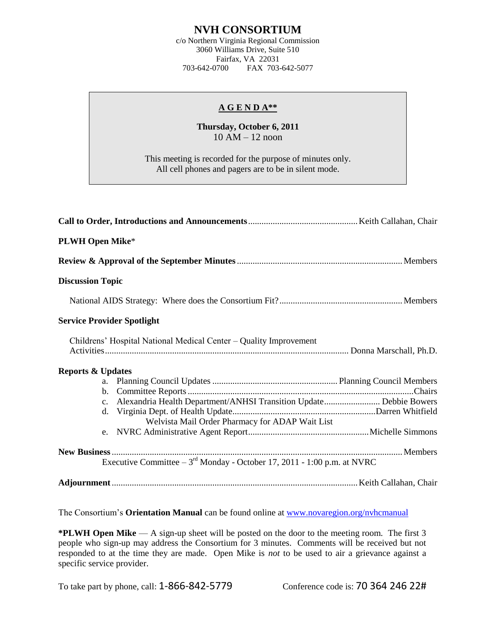## **NVH CONSORTIUM**

c/o Northern Virginia Regional Commission 3060 Williams Drive, Suite 510 Fairfax, VA 22031<br>703-642-0700 FAX 703-FAX 703-642-5077

## **A G E N D A\*\***

## **Thursday, October 6, 2011** 10 AM – 12 noon

This meeting is recorded for the purpose of minutes only. All cell phones and pagers are to be in silent mode.

| <b>PLWH Open Mike*</b>            |                                                                             |  |
|-----------------------------------|-----------------------------------------------------------------------------|--|
|                                   |                                                                             |  |
| <b>Discussion Topic</b>           |                                                                             |  |
|                                   |                                                                             |  |
| <b>Service Provider Spotlight</b> |                                                                             |  |
|                                   | Childrens' Hospital National Medical Center - Quality Improvement           |  |
| <b>Reports &amp; Updates</b>      |                                                                             |  |
|                                   |                                                                             |  |
|                                   |                                                                             |  |
|                                   |                                                                             |  |
|                                   |                                                                             |  |
|                                   | Welvista Mail Order Pharmacy for ADAP Wait List                             |  |
|                                   |                                                                             |  |
|                                   |                                                                             |  |
|                                   | Executive Committee $-3^{rd}$ Monday - October 17, 2011 - 1:00 p.m. at NVRC |  |
|                                   |                                                                             |  |

The Consortium's **Orientation Manual** can be found online at [www.novaregion.org/nvhcmanual](http://www.novaregion.org/nvhcmanual)

**\*PLWH Open Mike** — A sign-up sheet will be posted on the door to the meeting room. The first 3 people who sign-up may address the Consortium for 3 minutes. Comments will be received but not responded to at the time they are made. Open Mike is *not* to be used to air a grievance against a specific service provider.

To take part by phone, call: 1-866-842-5779 Conference code is: 70 364 246 22#